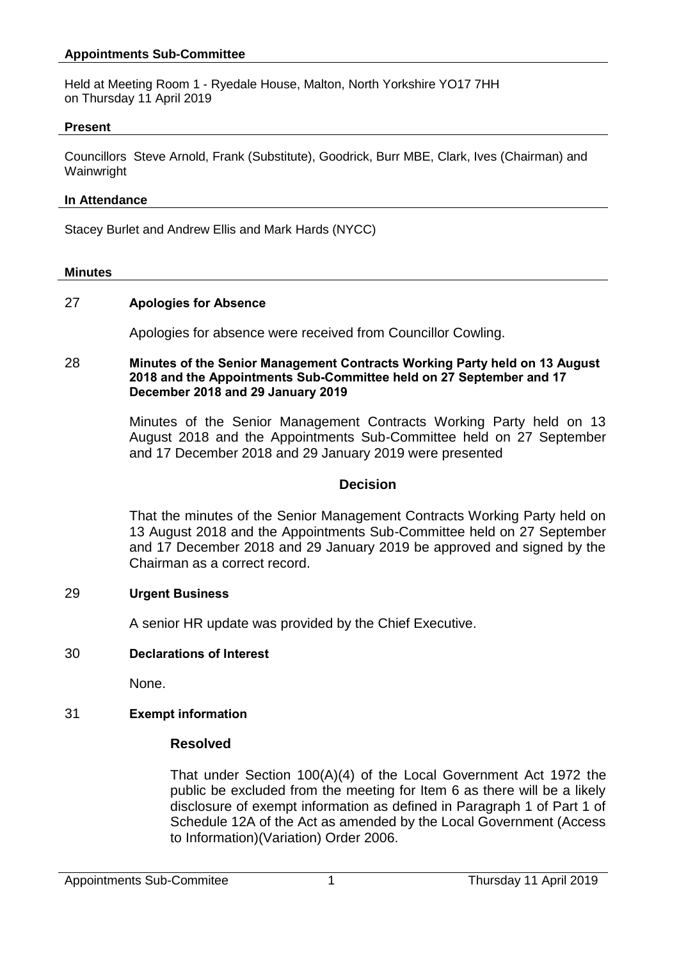## **Appointments Sub-Committee**

Held at Meeting Room 1 - Ryedale House, Malton, North Yorkshire YO17 7HH on Thursday 11 April 2019

#### **Present**

Councillors Steve Arnold, Frank (Substitute), Goodrick, Burr MBE, Clark, Ives (Chairman) and **Wainwright** 

#### **In Attendance**

Stacey Burlet and Andrew Ellis and Mark Hards (NYCC)

#### **Minutes**

## 27 **Apologies for Absence**

Apologies for absence were received from Councillor Cowling.

### 28 **Minutes of the Senior Management Contracts Working Party held on 13 August 2018 and the Appointments Sub-Committee held on 27 September and 17 December 2018 and 29 January 2019**

Minutes of the Senior Management Contracts Working Party held on 13 August 2018 and the Appointments Sub-Committee held on 27 September and 17 December 2018 and 29 January 2019 were presented

### **Decision**

That the minutes of the Senior Management Contracts Working Party held on 13 August 2018 and the Appointments Sub-Committee held on 27 September and 17 December 2018 and 29 January 2019 be approved and signed by the Chairman as a correct record.

### 29 **Urgent Business**

A senior HR update was provided by the Chief Executive.

# 30 **Declarations of Interest**

None.

# 31 **Exempt information**

# **Resolved**

That under Section 100(A)(4) of the Local Government Act 1972 the public be excluded from the meeting for Item 6 as there will be a likely disclosure of exempt information as defined in Paragraph 1 of Part 1 of Schedule 12A of the Act as amended by the Local Government (Access to Information)(Variation) Order 2006.